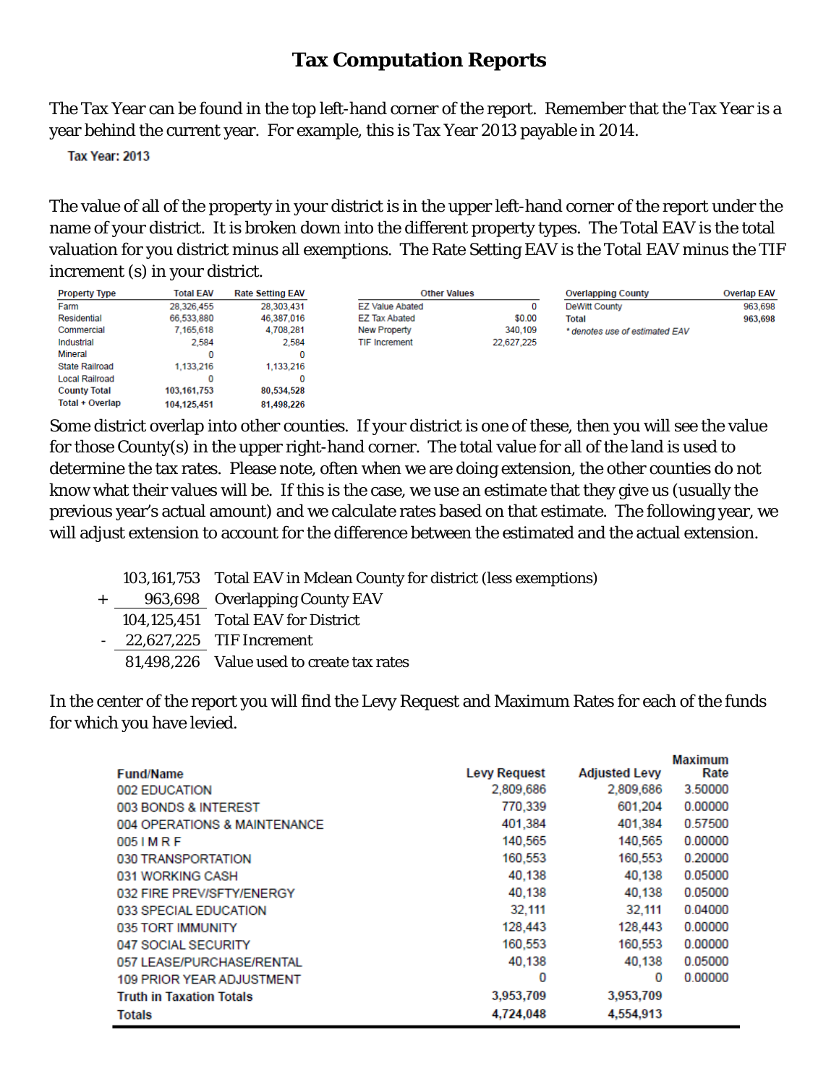## **Tax Computation Reports**

The Tax Year can be found in the top left-hand corner of the report. Remember that the Tax Year is a year behind the current year. For example, this is Tax Year 2013 payable in 2014.

**Tax Year: 2013** 

The value of all of the property in your district is in the upper left-hand corner of the report under the name of your district. It is broken down into the different property types. The Total EAV is the total valuation for you district minus all exemptions. The Rate Setting EAV is the Total EAV minus the TIF increment (s) in your district.

> **F7 Value Ahated EZ Tax Abated** New Property **TIF Increment**

**Other Values** 

| <b>Property Type</b>   | <b>Total EAV</b> | <b>Rate Setting EAV</b> |
|------------------------|------------------|-------------------------|
| Farm                   | 28,326,455       | 28,303,431              |
| Residential            | 66,533,880       | 46,387,016              |
| Commercial             | 7.165.618        | 4.708.281               |
| Industrial             | 2.584            | 2.584                   |
| Mineral                | o                | 0                       |
| <b>State Railroad</b>  | 1.133.216        | 1,133,216               |
| <b>Local Railroad</b>  | 0                | 0                       |
| <b>County Total</b>    | 103,161,753      | 80,534,528              |
| <b>Total + Overlap</b> | 104,125,451      | 81,498,226              |

|            | <b>Overlapping County</b>      | <b>Overlap EAV</b> |
|------------|--------------------------------|--------------------|
|            | <b>DeWitt County</b>           | 963.698            |
| \$0.00     | Total                          | 963,698            |
| 340,109    | * denotes use of estimated EAV |                    |
| 22.627.225 |                                |                    |

Some district overlap into other counties. If your district is one of these, then you will see the value for those County(s) in the upper right-hand corner. The total value for all of the land is used to determine the tax rates. Please note, often when we are doing extension, the other counties do not know what their values will be. If this is the case, we use an estimate that they give us (usually the previous year's actual amount) and we calculate rates based on that estimate. The following year, we will adjust extension to account for the difference between the estimated and the actual extension.

- 103,161,753 Total EAV in Mclean County for district (less exemptions)
- + 963,698 Overlapping County EAV
	- 104,125,451 Total EAV for District
- 22,627,225 TIF Increment
	- 81,498,226 Value used to create tax rates

In the center of the report you will find the Levy Request and Maximum Rates for each of the funds for which you have levied.

|                                  |                     |                      | <b>Maximum</b> |
|----------------------------------|---------------------|----------------------|----------------|
| <b>Fund/Name</b>                 | <b>Levy Request</b> | <b>Adjusted Levy</b> | Rate           |
| 002 EDUCATION                    | 2,809,686           | 2,809,686            | 3.50000        |
| 003 BONDS & INTEREST             | 770,339             | 601,204              | 0.00000        |
| 004 OPERATIONS & MAINTENANCE     | 401,384             | 401,384              | 0.57500        |
| 005 I M R F                      | 140,565             | 140,565              | 0.00000        |
| 030 TRANSPORTATION               | 160,553             | 160,553              | 0.20000        |
| 031 WORKING CASH                 | 40,138              | 40.138               | 0.05000        |
| 032 FIRE PREV/SFTY/ENERGY        | 40,138              | 40,138               | 0.05000        |
| 033 SPECIAL EDUCATION            | 32.111              | 32,111               | 0.04000        |
| 035 TORT IMMUNITY                | 128,443             | 128,443              | 0.00000        |
| 047 SOCIAL SECURITY              | 160,553             | 160,553              | 0.00000        |
| 057 LEASE/PURCHASE/RENTAL        | 40.138              | 40.138               | 0.05000        |
| <b>109 PRIOR YEAR ADJUSTMENT</b> | 0                   | 0                    | 0.00000        |
| <b>Truth in Taxation Totals</b>  | 3,953,709           | 3,953,709            |                |
| <b>Totals</b>                    | 4,724,048           | 4,554,913            |                |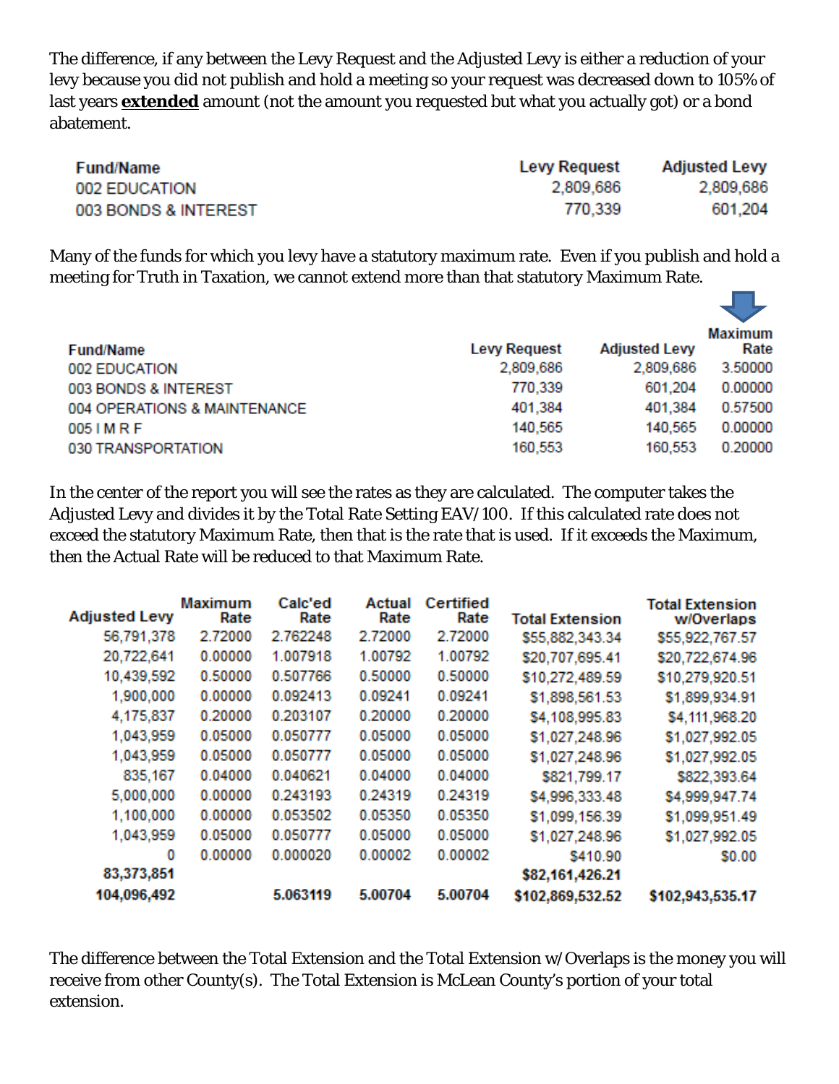The difference, if any between the Levy Request and the Adjusted Levy is either a reduction of your levy because you did not publish and hold a meeting so your request was decreased down to 105% of last years **extended** amount (not the amount you requested but what you actually got) or a bond abatement.

| <b>Fund/Name</b>     | <b>Levy Request</b> | <b>Adjusted Levy</b> |
|----------------------|---------------------|----------------------|
| 002 EDUCATION        | 2,809,686           | 2,809,686            |
| 003 BONDS & INTEREST | 770.339             | 601,204              |

Many of the funds for which you levy have a statutory maximum rate. Even if you publish and hold a meeting for Truth in Taxation, we cannot extend more than that statutory Maximum Rate.

 $\mathbf{r}$ 

| <b>Fund/Name</b>             | <b>Levy Request</b> | <b>Adjusted Levy</b> | Maximum<br>Rate |
|------------------------------|---------------------|----------------------|-----------------|
| 002 EDUCATION                | 2,809,686           | 2,809,686            | 3.50000         |
| 003 BONDS & INTEREST         | 770,339             | 601,204              | 0.00000         |
| 004 OPERATIONS & MAINTENANCE | 401,384             | 401,384              | 0.57500         |
| 005 I M R F                  | 140,565             | 140,565              | 0.00000         |
| 030 TRANSPORTATION           | 160,553             | 160,553              | 0.20000         |
|                              |                     |                      |                 |

In the center of the report you will see the rates as they are calculated. The computer takes the Adjusted Levy and divides it by the Total Rate Setting EAV/100. If this calculated rate does not exceed the statutory Maximum Rate, then that is the rate that is used. If it exceeds the Maximum, then the Actual Rate will be reduced to that Maximum Rate.

| <b>Adjusted Levy</b> | Maximum<br>Rate | Calc'ed<br>Rate | Actual<br>Rate | Certified<br>Rate | <b>Total Extension</b> | <b>Total Extension</b><br>w/Overlaps |
|----------------------|-----------------|-----------------|----------------|-------------------|------------------------|--------------------------------------|
| 56,791,378           | 2.72000         | 2.762248        | 2.72000        | 2.72000           | \$55,882,343.34        | \$55,922,767.57                      |
| 20,722,641           | 0.00000         | 1.007918        | 1.00792        | 1.00792           | \$20,707,695.41        | \$20,722,674.96                      |
| 10,439,592           | 0.50000         | 0.507766        | 0.50000        | 0.50000           | \$10,272,489.59        | \$10,279,920.51                      |
| 1,900,000            | 0.00000         | 0.092413        | 0.09241        | 0.09241           | \$1,898,561.53         | \$1,899,934.91                       |
| 4,175,837            | 0.20000         | 0.203107        | 0.20000        | 0.20000           | \$4,108,995.83         | \$4,111,968.20                       |
| 1,043,959            | 0.05000         | 0.050777        | 0.05000        | 0.05000           | \$1,027,248.96         | \$1,027,992.05                       |
| 1,043,959            | 0.05000         | 0.050777        | 0.05000        | 0.05000           | \$1,027,248.96         | \$1,027,992.05                       |
| 835,167              | 0.04000         | 0.040621        | 0.04000        | 0.04000           | \$821,799.17           | \$822,393.64                         |
| 5,000,000            | 0.00000         | 0.243193        | 0.24319        | 0.24319           | \$4,996,333.48         | \$4,999,947.74                       |
| 1,100,000            | 0.00000         | 0.053502        | 0.05350        | 0.05350           | \$1,099,156.39         | \$1,099,951.49                       |
| 1,043,959            | 0.05000         | 0.050777        | 0.05000        | 0.05000           | \$1,027,248.96         | \$1,027,992.05                       |
| 0                    | 0.00000         | 0.000020        | 0.00002        | 0.00002           | \$410.90               | \$0.00                               |
| 83,373,851           |                 |                 |                |                   | \$82,161,426.21        |                                      |
| 104,096,492          |                 | 5.063119        | 5.00704        | 5.00704           | \$102,869,532.52       | \$102,943,535.17                     |

The difference between the Total Extension and the Total Extension w/Overlaps is the money you will receive from other County(s). The Total Extension is McLean County's portion of your total extension.